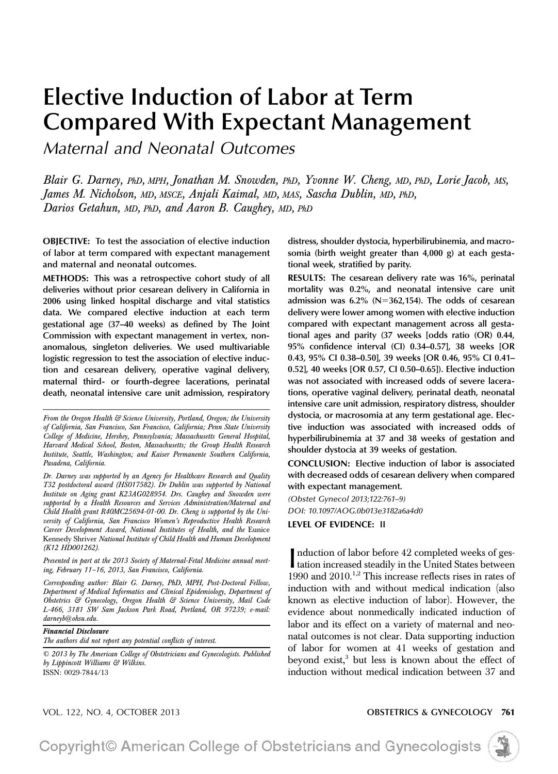# Elective Induction of Labor at Term Compared With Expectant Management

Maternal and Neonatal Outcomes

Blair G. Darney, PhD, MPH, Jonathan M. Snowden, PhD, Yvonne W. Cheng, MD, PhD, Lorie Jacob, MS, James M. Nicholson, MD, MSCE, Anjali Kaimal, MD, MAS, Sascha Dublin, MD, PhD, Darios Getahun, MD, PhD, and Aaron B. Caughey, MD, PhD

OBJECTIVE: To test the association of elective induction of labor at term compared with expectant management and maternal and neonatal outcomes.

METHODS: This was a retrospective cohort study of all deliveries without prior cesarean delivery in California in 2006 using linked hospital discharge and vital statistics data. We compared elective induction at each term gestational age (37–40 weeks) as defined by The Joint Commission with expectant management in vertex, nonanomalous, singleton deliveries. We used multivariable logistic regression to test the association of elective induction and cesarean delivery, operative vaginal delivery, maternal third- or fourth-degree lacerations, perinatal death, neonatal intensive care unit admission, respiratory

Presented in part at the 2013 Society of Maternal-Fetal Medicine annual meeting, February 11–16, 2013, San Francisco, California.

Corresponding author: Blair G. Darney, PhD, MPH, Post-Doctoral Fellow, Department of Medical Informatics and Clinical Epidemiology, Department of Obstetrics & Gynecology, Oregon Health & Science University, Mail Code L-466, 3181 SW Sam Jackson Park Road, Portland, OR 97239; e-mail: darneyb@ohsu.edu.

Financial Disclosure

The authors did not report any potential conflicts of interest.

© 2013 by The American College of Obstetricians and Gynecologists. Published by Lippincott Williams & Wilkins. ISSN: 0029-7844/13

distress, shoulder dystocia, hyperbilirubinemia, and macrosomia (birth weight greater than 4,000 g) at each gestational week, stratified by parity.

RESULTS: The cesarean delivery rate was 16%, perinatal mortality was 0.2%, and neonatal intensive care unit admission was  $6.2\%$  (N=362,154). The odds of cesarean delivery were lower among women with elective induction compared with expectant management across all gestational ages and parity (37 weeks [odds ratio (OR) 0.44, 95% confidence interval (CI) 0.34–0.57], 38 weeks [OR 0.43, 95% CI 0.38–0.50], 39 weeks [OR 0.46, 95% CI 0.41– 0.52], 40 weeks [OR 0.57, CI 0.50–0.65]). Elective induction was not associated with increased odds of severe lacerations, operative vaginal delivery, perinatal death, neonatal intensive care unit admission, respiratory distress, shoulder dystocia, or macrosomia at any term gestational age. Elective induction was associated with increased odds of hyperbilirubinemia at 37 and 38 weeks of gestation and shoulder dystocia at 39 weeks of gestation.

CONCLUSION: Elective induction of labor is associated with decreased odds of cesarean delivery when compared with expectant management.

(Obstet Gynecol 2013;122:761–9) DOI: 10.1097/AOG.0b013e3182a6a4d0

LEVEL OF EVIDENCE: II

Induction of labor before 42 completed weeks of ges-<br>tation increased steadily in the United States between<br> $1000 - 10010^{12}$  Ti tation increased steadily in the United States between 1990 and  $2010$ <sup>1,2</sup> This increase reflects rises in rates of induction with and without medical indication (also known as elective induction of labor). However, the evidence about nonmedically indicated induction of labor and its effect on a variety of maternal and neonatal outcomes is not clear. Data supporting induction of labor for women at 41 weeks of gestation and beyond exist,<sup>3</sup> but less is known about the effect of induction without medical indication between 37 and

### VOL. 122, NO. 4, OCTOBER 2013 OBSTETRICS & GYNECOLOGY 761

Copyright© American College of Obstetricians and Gynecologists



From the Oregon Health & Science University, Portland, Oregon; the University of California, San Francisco, San Francisco, California; Penn State University College of Medicine, Hershey, Pennsylvania; Massachusetts General Hospital, Harvard Medical School, Boston, Massachusetts; the Group Health Research Institute, Seattle, Washington; and Kaiser Permanente Southern California, Pasadena, California.

Dr. Darney was supported by an Agency for Healthcare Research and Quality T32 postdoctoral award (HS017582). Dr Dublin was supported by National Institute on Aging grant K23AG028954. Drs. Caughey and Snowden were supported by a Health Resources and Services Administration/Maternal and Child Health grant R40MC25694-01-00. Dr. Cheng is supported by the University of California, San Francisco Women's Reproductive Health Research Career Development Award, National Institutes of Health, and the Eunice Kennedy Shriver National Institute of Child Health and Human Development (K12 HD001262).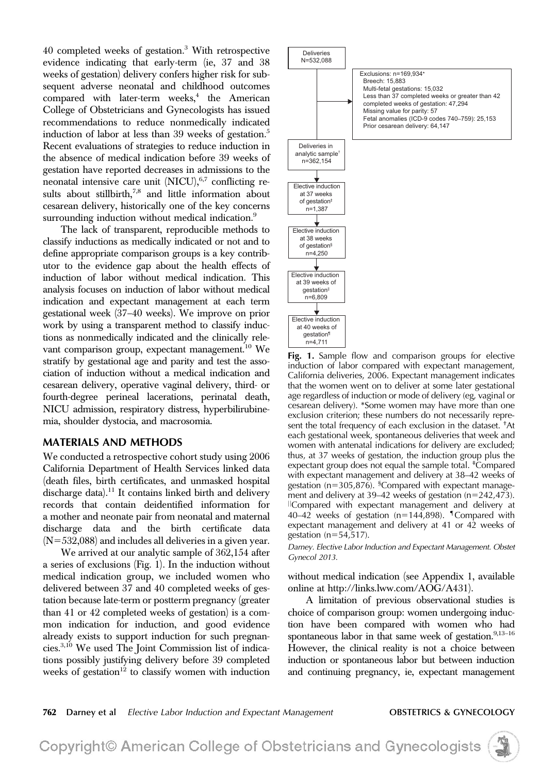40 completed weeks of gestation.3 With retrospective evidence indicating that early-term (ie, 37 and 38 weeks of gestation) delivery confers higher risk for subsequent adverse neonatal and childhood outcomes compared with later-term weeks, $4$  the American College of Obstetricians and Gynecologists has issued recommendations to reduce nonmedically indicated induction of labor at less than 39 weeks of gestation.<sup>5</sup> Recent evaluations of strategies to reduce induction in the absence of medical indication before 39 weeks of gestation have reported decreases in admissions to the neonatal intensive care unit  $(NICU)$ ,  $6,7$  conflicting results about stillbirth, $7,8$  and little information about cesarean delivery, historically one of the key concerns surrounding induction without medical indication.<sup>9</sup>

The lack of transparent, reproducible methods to classify inductions as medically indicated or not and to define appropriate comparison groups is a key contributor to the evidence gap about the health effects of induction of labor without medical indication. This analysis focuses on induction of labor without medical indication and expectant management at each term gestational week (37–40 weeks). We improve on prior work by using a transparent method to classify inductions as nonmedically indicated and the clinically relevant comparison group, expectant management.<sup>10</sup> We stratify by gestational age and parity and test the association of induction without a medical indication and cesarean delivery, operative vaginal delivery, third- or fourth-degree perineal lacerations, perinatal death, NICU admission, respiratory distress, hyperbilirubinemia, shoulder dystocia, and macrosomia.

# **MATERIALS AND METHODS**

We conducted a retrospective cohort study using 2006 California Department of Health Services linked data (death files, birth certificates, and unmasked hospital discharge data).<sup>11</sup> It contains linked birth and delivery records that contain deidentified information for a mother and neonate pair from neonatal and maternal discharge data and the birth certificate data  $(N=532,088)$  and includes all deliveries in a given year.

We arrived at our analytic sample of 362,154 after a series of exclusions (Fig. 1). In the induction without medical indication group, we included women who delivered between 37 and 40 completed weeks of gestation because late-term or postterm pregnancy (greater than 41 or 42 completed weeks of gestation) is a common indication for induction, and good evidence already exists to support induction for such pregnancies.3,10 We used The Joint Commission list of indications possibly justifying delivery before 39 completed weeks of gestation $12$  to classify women with induction



Fig. 1. Sample flow and comparison groups for elective induction of labor compared with expectant management, California deliveries, 2006. Expectant management indicates that the women went on to deliver at some later gestational age regardless of induction or mode of delivery (eg, vaginal or cesarean delivery). \*Some women may have more than one exclusion criterion; these numbers do not necessarily represent the total frequency of each exclusion in the dataset. † At each gestational week, spontaneous deliveries that week and women with antenatal indications for delivery are excluded; thus, at 37 weeks of gestation, the induction group plus the expectant group does not equal the sample total. <sup>‡</sup>Compared with expectant management and delivery at 38–42 weeks of gestation ( $n=305,876$ ). <sup>§</sup>Compared with expectant management and delivery at 39–42 weeks of gestation  $(n=242,473)$ . IICompared with expectant management and delivery at 40–42 weeks of gestation ( $n=144,898$ ). <sup>T</sup>Compared with expectant management and delivery at 41 or 42 weeks of gestation  $(n=54,517)$ .

Darney. Elective Labor Induction and Expectant Management. Obstet Gynecol 2013.

without medical indication (see Appendix 1, available online at<http://links.lww.com/AOG/A431>).

A limitation of previous observational studies is choice of comparison group: women undergoing induction have been compared with women who had spontaneous labor in that same week of gestation.<sup>9,13-16</sup> However, the clinical reality is not a choice between induction or spontaneous labor but between induction and continuing pregnancy, ie, expectant management

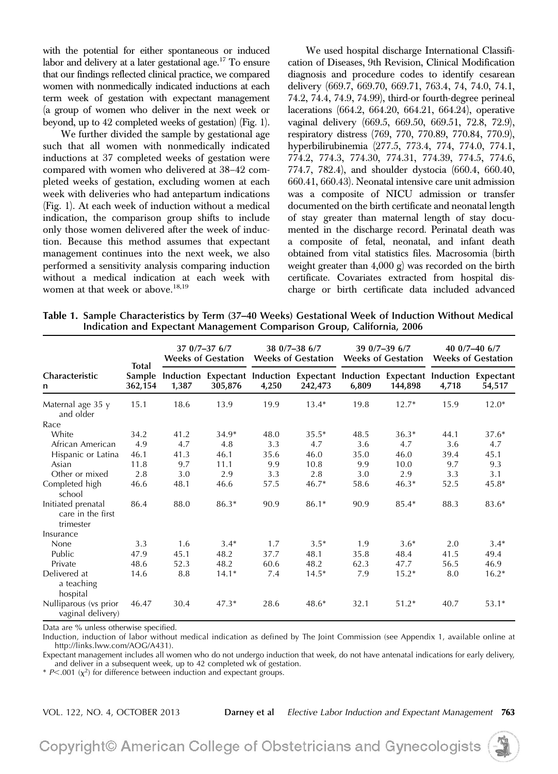with the potential for either spontaneous or induced labor and delivery at a later gestational age.<sup>17</sup> To ensure that our findings reflected clinical practice, we compared women with nonmedically indicated inductions at each term week of gestation with expectant management (a group of women who deliver in the next week or beyond, up to 42 completed weeks of gestation) (Fig. 1).

We further divided the sample by gestational age such that all women with nonmedically indicated inductions at 37 completed weeks of gestation were compared with women who delivered at 38–42 completed weeks of gestation, excluding women at each week with deliveries who had antepartum indications (Fig. 1). At each week of induction without a medical indication, the comparison group shifts to include only those women delivered after the week of induction. Because this method assumes that expectant management continues into the next week, we also performed a sensitivity analysis comparing induction without a medical indication at each week with women at that week or above.<sup>18,19</sup>

We used hospital discharge International Classification of Diseases, 9th Revision, Clinical Modification diagnosis and procedure codes to identify cesarean delivery (669.7, 669.70, 669.71, 763.4, 74, 74.0, 74.1, 74.2, 74.4, 74.9, 74.99), third-or fourth-degree perineal lacerations (664.2, 664.20, 664.21, 664.24), operative vaginal delivery (669.5, 669.50, 669.51, 72.8, 72.9), respiratory distress (769, 770, 770.89, 770.84, 770.9), hyperbilirubinemia (277.5, 773.4, 774, 774.0, 774.1, 774.2, 774.3, 774.30, 774.31, 774.39, 774.5, 774.6, 774.7, 782.4), and shoulder dystocia (660.4, 660.40, 660.41, 660.43). Neonatal intensive care unit admission was a composite of NICU admission or transfer documented on the birth certificate and neonatal length of stay greater than maternal length of stay documented in the discharge record. Perinatal death was a composite of fetal, neonatal, and infant death obtained from vital statistics files. Macrosomia (birth weight greater than 4,000 g) was recorded on the birth certificate. Covariates extracted from hospital discharge or birth certificate data included advanced

Table 1. Sample Characteristics by Term (37–40 Weeks) Gestational Week of Induction Without Medical Indication and Expectant Management Comparison Group, California, 2006

|                                                      | <b>Total</b><br>Sample<br>362,154 | $370/7 - 376/7$<br><b>Weeks of Gestation</b> |         | $380/7 - 386/7$<br><b>Weeks of Gestation</b> |                                                                                            | $390/7 - 396/7$<br><b>Weeks of Gestation</b> |         | 40 $0/7 - 40$ 6/7<br><b>Weeks of Gestation</b> |         |
|------------------------------------------------------|-----------------------------------|----------------------------------------------|---------|----------------------------------------------|--------------------------------------------------------------------------------------------|----------------------------------------------|---------|------------------------------------------------|---------|
| Characteristic<br>n                                  |                                   | 1,387                                        | 305,876 | 4,250                                        | Induction Expectant Induction Expectant Induction Expectant Induction Expectant<br>242,473 | 6,809                                        | 144,898 | 4,718                                          | 54,517  |
| Maternal age 35 y<br>and older                       | 15.1                              | 18.6                                         | 13.9    | 19.9                                         | $13.4*$                                                                                    | 19.8                                         | $12.7*$ | 15.9                                           | $12.0*$ |
| Race                                                 |                                   |                                              |         |                                              |                                                                                            |                                              |         |                                                |         |
| White                                                | 34.2                              | 41.2                                         | 34.9*   | 48.0                                         | $35.5*$                                                                                    | 48.5                                         | $36.3*$ | 44.1                                           | $37.6*$ |
| African American                                     | 4.9                               | 4.7                                          | 4.8     | 3.3                                          | 4.7                                                                                        | 3.6                                          | 4.7     | 3.6                                            | 4.7     |
| Hispanic or Latina                                   | 46.1                              | 41.3                                         | 46.1    | 35.6                                         | 46.0                                                                                       | 35.0                                         | 46.0    | 39.4                                           | 45.1    |
| Asian                                                | 11.8                              | 9.7                                          | 11.1    | 9.9                                          | 10.8                                                                                       | 9.9                                          | 10.0    | 9.7                                            | 9.3     |
| Other or mixed                                       | 2.8                               | 3.0                                          | 2.9     | 3.3                                          | 2.8                                                                                        | 3.0                                          | 2.9     | 3.3                                            | 3.1     |
| Completed high<br>school                             | 46.6                              | 48.1                                         | 46.6    | 57.5                                         | $46.7*$                                                                                    | 58.6                                         | $46.3*$ | 52.5                                           | 45.8*   |
| Initiated prenatal<br>care in the first<br>trimester | 86.4                              | 88.0                                         | $86.3*$ | 90.9                                         | $86.1*$                                                                                    | 90.9                                         | 85.4*   | 88.3                                           | 83.6*   |
| Insurance                                            |                                   |                                              |         |                                              |                                                                                            |                                              |         |                                                |         |
| None                                                 | 3.3                               | 1.6                                          | $3.4*$  | 1.7                                          | $3.5*$                                                                                     | 1.9                                          | $3.6*$  | 2.0                                            | $3.4*$  |
| Public                                               | 47.9                              | 45.1                                         | 48.2    | 37.7                                         | 48.1                                                                                       | 35.8                                         | 48.4    | 41.5                                           | 49.4    |
| Private                                              | 48.6                              | 52.3                                         | 48.2    | 60.6                                         | 48.2                                                                                       | 62.3                                         | 47.7    | 56.5                                           | 46.9    |
| Delivered at<br>a teaching<br>hospital               | 14.6                              | 8.8                                          | $14.1*$ | 7.4                                          | $14.5*$                                                                                    | 7.9                                          | $15.2*$ | 8.0                                            | $16.2*$ |
| Nulliparous (vs prior<br>vaginal delivery)           | 46.47                             | 30.4                                         | $47.3*$ | 28.6                                         | $48.6*$                                                                                    | 32.1                                         | $51.2*$ | 40.7                                           | $53.1*$ |

Data are % unless otherwise specified.

Induction, induction of labor without medical indication as defined by The Joint Commission (see Appendix 1, available online at <http://links.lww.com/AOG/A431>).

Expectant management includes all women who do not undergo induction that week, do not have antenatal indications for early delivery, and deliver in a subsequent week, up to 42 completed wk of gestation.

\*  $P$ <.001 ( $\chi^2$ ) for difference between induction and expectant groups.

VOL. 122, NO. 4, OCTOBER 2013 Darney et al Elective Labor Induction and Expectant Management 763

Copyright© American College of Obstetricians and Gynecologists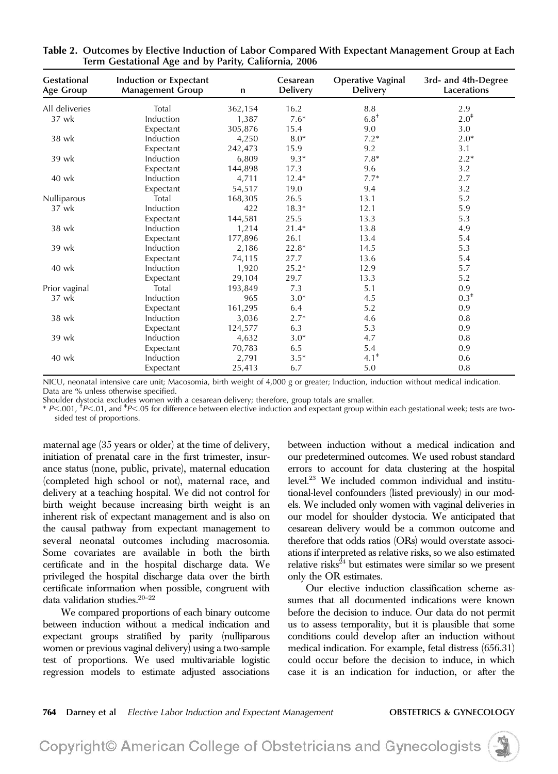| <b>Gestational</b><br>Age Group | Induction or Expectant<br><b>Management Group</b> | n       | Cesarean<br><b>Delivery</b> | <b>Operative Vaginal</b><br><b>Delivery</b> | 3rd- and 4th-Degree<br>Lacerations |
|---------------------------------|---------------------------------------------------|---------|-----------------------------|---------------------------------------------|------------------------------------|
| All deliveries                  | Total                                             | 362,154 | 16.2                        | 8.8                                         | 2.9                                |
| 37 wk                           | Induction                                         | 1,387   | $7.6*$                      | $6.8^\dagger$                               | $2.0^*$                            |
|                                 | Expectant                                         | 305,876 | 15.4                        | 9.0                                         | 3.0                                |
| 38 wk                           | Induction                                         | 4,250   | $8.0*$                      | $7.2*$                                      | $2.0*$                             |
|                                 | Expectant                                         | 242,473 | 15.9                        | 9.2                                         | 3.1                                |
| 39 wk                           | Induction                                         | 6,809   | $9.3*$                      | $7.8*$                                      | $2.2*$                             |
|                                 | Expectant                                         | 144,898 | 17.3                        | 9.6                                         | 3.2                                |
| 40 wk                           | Induction                                         | 4,711   | $12.4*$                     | $7.7*$                                      | 2.7                                |
|                                 | Expectant                                         | 54,517  | 19.0                        | 9.4                                         | 3.2                                |
| Nulliparous                     | Total                                             | 168,305 | 26.5                        | 13.1                                        | 5.2                                |
| 37 wk                           | Induction                                         | 422     | $18.3*$                     | 12.1                                        | 5.9                                |
|                                 | Expectant                                         | 144,581 | 25.5                        | 13.3                                        | 5.3                                |
| 38 wk                           | Induction                                         | 1,214   | $21.4*$                     | 13.8                                        | 4.9                                |
|                                 | Expectant                                         | 177,896 | 26.1                        | 13.4                                        | 5.4                                |
| 39 wk                           | Induction                                         | 2,186   | $22.8*$                     | 14.5                                        | 5.3                                |
|                                 | Expectant                                         | 74,115  | 27.7                        | 13.6                                        | 5.4                                |
| 40 wk                           | Induction                                         | 1,920   | $25.2*$                     | 12.9                                        | 5.7                                |
|                                 | Expectant                                         | 29,104  | 29.7                        | 13.3                                        | 5.2                                |
| Prior vaginal                   | Total                                             | 193,849 | 7.3                         | 5.1                                         | 0.9                                |
| 37 wk                           | Induction                                         | 965     | $3.0*$                      | 4.5                                         | $0.3^*$                            |
|                                 | Expectant                                         | 161,295 | 6.4                         | 5.2                                         | 0.9                                |
| 38 wk                           | Induction                                         | 3,036   | $2.7*$                      | 4.6                                         | 0.8                                |
|                                 | Expectant                                         | 124,577 | 6.3                         | 5.3                                         | 0.9                                |
| 39 wk                           | Induction                                         | 4,632   | $3.0*$                      | 4.7                                         | 0.8                                |
|                                 | Expectant                                         | 70,783  | 6.5                         | 5.4                                         | 0.9                                |
| 40 wk                           | Induction                                         | 2,791   | $3.5*$                      | $4.1^*$                                     | 0.6                                |
|                                 | Expectant                                         | 25,413  | 6.7                         | 5.0                                         | 0.8                                |

Table 2. Outcomes by Elective Induction of Labor Compared With Expectant Management Group at Each Term Gestational Age and by Parity, California, 2006

NICU, neonatal intensive care unit; Macosomia, birth weight of 4,000 g or greater; Induction, induction without medical indication. Data are % unless otherwise specified.

Shoulder dystocia excludes women with a cesarean delivery; therefore, group totals are smaller.

\* P<.001, <sup>+</sup>P<.01, and <sup>+</sup>P<.05 for difference between elective induction and expectant group within each gestational week; tests are twosided test of proportions.

maternal age (35 years or older) at the time of delivery, initiation of prenatal care in the first trimester, insurance status (none, public, private), maternal education (completed high school or not), maternal race, and delivery at a teaching hospital. We did not control for birth weight because increasing birth weight is an inherent risk of expectant management and is also on the causal pathway from expectant management to several neonatal outcomes including macrosomia. Some covariates are available in both the birth certificate and in the hospital discharge data. We privileged the hospital discharge data over the birth certificate information when possible, congruent with data validation studies.  $\real^{20-22}$ 

We compared proportions of each binary outcome between induction without a medical indication and expectant groups stratified by parity (nulliparous women or previous vaginal delivery) using a two-sample test of proportions. We used multivariable logistic regression models to estimate adjusted associations between induction without a medical indication and our predetermined outcomes. We used robust standard errors to account for data clustering at the hospital level.23 We included common individual and institutional-level confounders (listed previously) in our models. We included only women with vaginal deliveries in our model for shoulder dystocia. We anticipated that cesarean delivery would be a common outcome and therefore that odds ratios (ORs) would overstate associations if interpreted as relative risks, so we also estimated relative risks $^{24}$  but estimates were similar so we present only the OR estimates.

Our elective induction classification scheme assumes that all documented indications were known before the decision to induce. Our data do not permit us to assess temporality, but it is plausible that some conditions could develop after an induction without medical indication. For example, fetal distress (656.31) could occur before the decision to induce, in which case it is an indication for induction, or after the

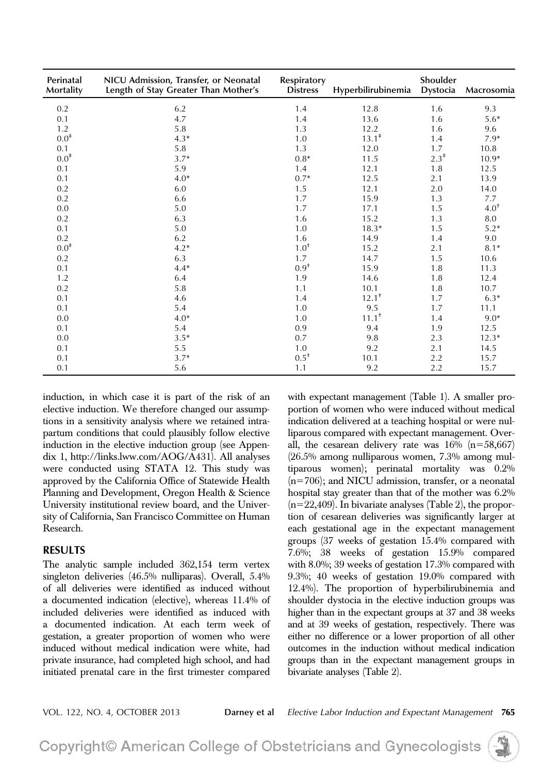| Perinatal<br>Mortality | NICU Admission, Transfer, or Neonatal<br>Length of Stay Greater Than Mother's | Respiratory<br><b>Distress</b> | Hyperbilirubinemia | Shoulder<br>Dystocia | Macrosomia      |
|------------------------|-------------------------------------------------------------------------------|--------------------------------|--------------------|----------------------|-----------------|
| 0.2                    | 6.2                                                                           | 1.4                            | 12.8               | 1.6                  | 9.3             |
| 0.1                    | 4.7                                                                           | 1.4                            | 13.6               | 1.6                  | $5.6*$          |
| 1.2                    | 5.8                                                                           | 1.3                            | 12.2               | 1.6                  | 9.6             |
| $0.0^{*}$              | $4.3*$                                                                        | 1.0                            | $13.1^*$           | 1.4                  | $7.9*$          |
| 0.1                    | 5.8                                                                           | 1.3                            | 12.0               | 1.7                  | 10.8            |
| $0.0^{*}$              | $3.7*$                                                                        | $0.8*$                         | 11.5               | $2.3^*$              | $10.9*$         |
| 0.1                    | 5.9                                                                           | 1.4                            | 12.1               | 1.8                  | 12.5            |
| 0.1                    | $4.0*$                                                                        | $0.7*$                         | 12.5               | 2.1                  | 13.9            |
| 0.2                    | 6.0                                                                           | 1.5                            | 12.1               | 2.0                  | 14.0            |
| 0.2                    | 6.6                                                                           | 1.7                            | 15.9               | 1.3                  | 7.7             |
| 0.0                    | 5.0                                                                           | 1.7                            | 17.1               | 1.5                  | $4.0^{\dagger}$ |
| 0.2                    | 6.3                                                                           | 1.6                            | 15.2               | 1.3                  | 8.0             |
| 0.1                    | 5.0                                                                           | 1.0                            | $18.3*$            | 1.5                  | $5.2*$          |
| 0.2                    | 6.2                                                                           | 1.6                            | 14.9               | 1.4                  | 9.0             |
| $0.0^\ddag$            | $4.2*$                                                                        | $1.0^{\dagger}$                | 15.2               | 2.1                  | $8.1*$          |
| 0.2                    | 6.3                                                                           | 1.7                            | 14.7               | 1.5                  | 10.6            |
| 0.1                    | $4.4*$                                                                        | $0.9^{+}$                      | 15.9               | 1.8                  | 11.3            |
| 1.2                    | 6.4                                                                           | 1.9                            | 14.6               | 1.8                  | 12.4            |
| 0.2                    | 5.8                                                                           | 1.1                            | 10.1               | 1.8                  | 10.7            |
| 0.1                    | 4.6                                                                           | 1.4                            | $12.1^+$           | 1.7                  | $6.3*$          |
| 0.1                    | 5.4                                                                           | 1.0                            | 9.5                | 1.7                  | 11.1            |
| 0.0                    | $4.0*$                                                                        | 1.0                            | $11.1^+$           | 1.4                  | $9.0*$          |
| 0.1                    | 5.4                                                                           | 0.9                            | 9.4                | 1.9                  | 12.5            |
| 0.0                    | $3.5*$                                                                        | 0.7                            | 9.8                | 2.3                  | $12.3*$         |
| 0.1                    | 5.5                                                                           | 1.0                            | 9.2                | 2.1                  | 14.5            |
| 0.1                    | $3.7*$                                                                        | $0.5^+$                        | 10.1               | 2.2                  | 15.7            |
| 0.1                    | 5.6                                                                           | 1.1                            | 9.2                | 2.2                  | 15.7            |

induction, in which case it is part of the risk of an elective induction. We therefore changed our assumptions in a sensitivity analysis where we retained intrapartum conditions that could plausibly follow elective induction in the elective induction group (see Appendix 1,<http://links.lww.com/AOG/A431>). All analyses were conducted using STATA 12. This study was approved by the California Office of Statewide Health Planning and Development, Oregon Health & Science University institutional review board, and the University of California, San Francisco Committee on Human Research.

# **RESULTS**

The analytic sample included 362,154 term vertex singleton deliveries (46.5% nulliparas). Overall, 5.4% of all deliveries were identified as induced without a documented indication (elective), whereas 11.4% of included deliveries were identified as induced with a documented indication. At each term week of gestation, a greater proportion of women who were induced without medical indication were white, had private insurance, had completed high school, and had initiated prenatal care in the first trimester compared with expectant management (Table 1). A smaller proportion of women who were induced without medical indication delivered at a teaching hospital or were nulliparous compared with expectant management. Overall, the cesarean delivery rate was  $16\%$  (n=58,667) (26.5% among nulliparous women, 7.3% among multiparous women); perinatal mortality was 0.2%  $(n=706)$ ; and NICU admission, transfer, or a neonatal hospital stay greater than that of the mother was 6.2%  $(n=22,409)$ . In bivariate analyses (Table 2), the proportion of cesarean deliveries was significantly larger at each gestational age in the expectant management groups (37 weeks of gestation 15.4% compared with 7.6%; 38 weeks of gestation 15.9% compared with 8.0%; 39 weeks of gestation 17.3% compared with 9.3%; 40 weeks of gestation 19.0% compared with 12.4%). The proportion of hyperbilirubinemia and shoulder dystocia in the elective induction groups was higher than in the expectant groups at 37 and 38 weeks and at 39 weeks of gestation, respectively. There was either no difference or a lower proportion of all other outcomes in the induction without medical indication groups than in the expectant management groups in bivariate analyses (Table 2).

VOL. 122, NO. 4, OCTOBER 2013 **Darney et al** Elective Labor Induction and Expectant Management 765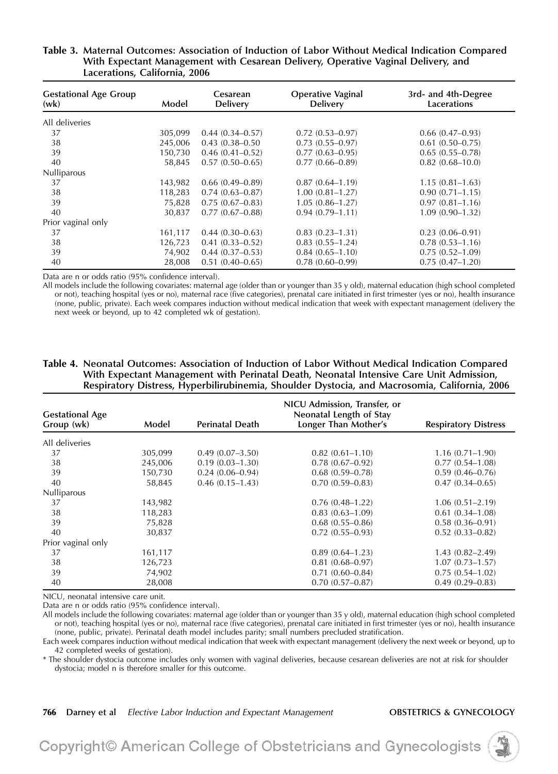| <b>Gestational Age Group</b><br>(wk) | Model   | Cesarean<br><b>Delivery</b> | <b>Operative Vaginal</b><br><b>Delivery</b> | 3rd- and 4th-Degree<br>Lacerations |
|--------------------------------------|---------|-----------------------------|---------------------------------------------|------------------------------------|
| All deliveries                       |         |                             |                                             |                                    |
| 37                                   | 305,099 | $0.44(0.34 - 0.57)$         | $0.72(0.53 - 0.97)$                         | $0.66(0.47-0.93)$                  |
| 38                                   | 245,006 | $0.43(0.38 - 0.50)$         | $0.73(0.55 - 0.97)$                         | $0.61(0.50 - 0.75)$                |
| 39                                   | 150,730 | $0.46(0.41-0.52)$           | $0.77(0.63 - 0.95)$                         | $0.65(0.55 - 0.78)$                |
| 40                                   | 58,845  | $0.57(0.50-0.65)$           | $0.77(0.66 - 0.89)$                         | $0.82(0.68 - 10.0)$                |
| Nulliparous                          |         |                             |                                             |                                    |
| 37                                   | 143,982 | $0.66(0.49-0.89)$           | $0.87(0.64 - 1.19)$                         | $1.15(0.81 - 1.63)$                |
| 38                                   | 118,283 | $0.74(0.63 - 0.87)$         | $1.00(0.81 - 1.27)$                         | $0.90(0.71 - 1.15)$                |
| 39                                   | 75,828  | $0.75(0.67-0.83)$           | $1.05(0.86 - 1.27)$                         | $0.97(0.81 - 1.16)$                |
| 40                                   | 30,837  | $0.77(0.67-0.88)$           | $0.94(0.79-1.11)$                           | $1.09(0.90 - 1.32)$                |
| Prior vaginal only                   |         |                             |                                             |                                    |
| 37                                   | 161,117 | $0.44(0.30-0.63)$           | $0.83(0.23 - 1.31)$                         | $0.23(0.06 - 0.91)$                |
| 38                                   | 126,723 | $0.41(0.33 - 0.52)$         | $0.83(0.55 - 1.24)$                         | $0.78(0.53 - 1.16)$                |
| 39                                   | 74,902  | $0.44(0.37-0.53)$           | $0.84(0.65 - 1.10)$                         | $0.75(0.52 - 1.09)$                |
| 40                                   | 28,008  | $0.51(0.40-0.65)$           | $0.78(0.60 - 0.99)$                         | $0.75(0.47-1.20)$                  |

# Table 3. Maternal Outcomes: Association of Induction of Labor Without Medical Indication Compared With Expectant Management with Cesarean Delivery, Operative Vaginal Delivery, and Lacerations, California, 2006

Data are n or odds ratio (95% confidence interval).

All models include the following covariates: maternal age (older than or younger than 35 y old), maternal education (high school completed or not), teaching hospital (yes or no), maternal race (five categories), prenatal care initiated in first trimester (yes or no), health insurance (none, public, private). Each week compares induction without medical indication that week with expectant management (delivery the next week or beyond, up to 42 completed wk of gestation).

# Table 4. Neonatal Outcomes: Association of Induction of Labor Without Medical Indication Compared With Expectant Management with Perinatal Death, Neonatal Intensive Care Unit Admission, Respiratory Distress, Hyperbilirubinemia, Shoulder Dystocia, and Macrosomia, California, 2006

| <b>Gestational Age</b> |         | NICU Admission, Transfer, or<br>Neonatal Length of Stay |                      |                             |  |  |  |
|------------------------|---------|---------------------------------------------------------|----------------------|-----------------------------|--|--|--|
| Group (wk)             | Model   | <b>Perinatal Death</b>                                  | Longer Than Mother's | <b>Respiratory Distress</b> |  |  |  |
| All deliveries         |         |                                                         |                      |                             |  |  |  |
| 37                     | 305,099 | $0.49(0.07-3.50)$                                       | $0.82(0.61 - 1.10)$  | $1.16(0.71 - 1.90)$         |  |  |  |
| 38                     | 245,006 | $0.19(0.03 - 1.30)$                                     | $0.78(0.67 - 0.92)$  | $0.77(0.54 - 1.08)$         |  |  |  |
| 39                     | 150,730 | $0.24(0.06 - 0.94)$                                     | $0.68(0.59 - 0.78)$  | $0.59(0.46 - 0.76)$         |  |  |  |
| 40                     | 58,845  | $0.46(0.15-1.43)$                                       | $0.70(0.59 - 0.83)$  | $0.47(0.34 - 0.65)$         |  |  |  |
| Nulliparous            |         |                                                         |                      |                             |  |  |  |
| 37                     | 143,982 |                                                         | $0.76(0.48-1.22)$    | $1.06(0.51 - 2.19)$         |  |  |  |
| 38                     | 118,283 |                                                         | $0.83(0.63 - 1.09)$  | $0.61(0.34-1.08)$           |  |  |  |
| 39                     | 75,828  |                                                         | $0.68(0.55-0.86)$    | $0.58(0.36 - 0.91)$         |  |  |  |
| 40                     | 30,837  |                                                         | $0.72(0.55-0.93)$    | $0.52(0.33 - 0.82)$         |  |  |  |
| Prior vaginal only     |         |                                                         |                      |                             |  |  |  |
| 37                     | 161,117 |                                                         | $0.89(0.64 - 1.23)$  | $1.43(0.82 - 2.49)$         |  |  |  |
| 38                     | 126,723 |                                                         | $0.81(0.68 - 0.97)$  | $1.07(0.73 - 1.57)$         |  |  |  |
| 39                     | 74,902  |                                                         | $0.71(0.60 - 0.84)$  | $0.75(0.54-1.02)$           |  |  |  |
| 40                     | 28,008  |                                                         | $0.70(0.57 - 0.87)$  | $0.49(0.29 - 0.83)$         |  |  |  |

NICU, neonatal intensive care unit.

Data are n or odds ratio (95% confidence interval).

All models include the following covariates: maternal age (older than or younger than 35 y old), maternal education (high school completed or not), teaching hospital (yes or no), maternal race (five categories), prenatal care initiated in first trimester (yes or no), health insurance (none, public, private). Perinatal death model includes parity; small numbers precluded stratification.

Each week compares induction without medical indication that week with expectant management (delivery the next week or beyond, up to 42 completed weeks of gestation).

\* The shoulder dystocia outcome includes only women with vaginal deliveries, because cesarean deliveries are not at risk for shoulder dystocia; model n is therefore smaller for this outcome.

### 766 Darney et al Elective Labor Induction and Expectant Management **OBSTETRICS & GYNECOLOGY**

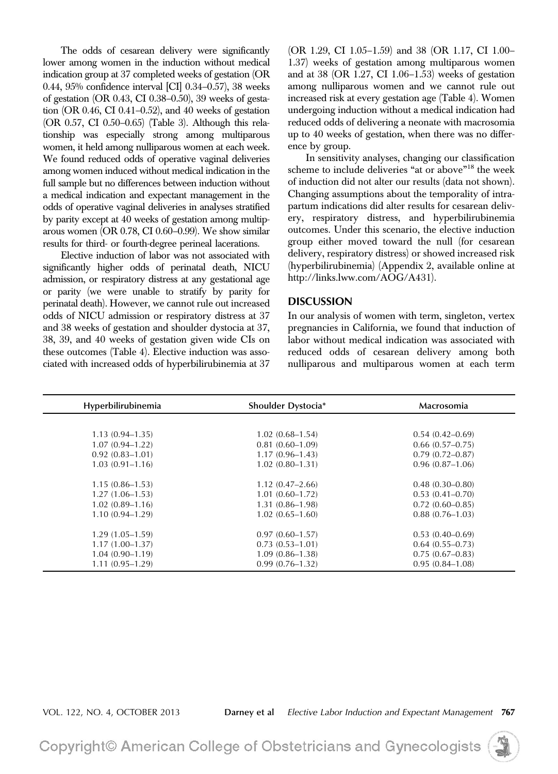The odds of cesarean delivery were significantly lower among women in the induction without medical indication group at 37 completed weeks of gestation (OR 0.44, 95% confidence interval [CI] 0.34–0.57), 38 weeks of gestation (OR 0.43, CI 0.38–0.50), 39 weeks of gestation (OR 0.46, CI 0.41–0.52), and 40 weeks of gestation (OR 0.57, CI 0.50–0.65) (Table 3). Although this relationship was especially strong among multiparous women, it held among nulliparous women at each week. We found reduced odds of operative vaginal deliveries among women induced without medical indication in the full sample but no differences between induction without a medical indication and expectant management in the odds of operative vaginal deliveries in analyses stratified by parity except at 40 weeks of gestation among multiparous women (OR 0.78, CI 0.60–0.99). We show similar results for third- or fourth-degree perineal lacerations.

Elective induction of labor was not associated with significantly higher odds of perinatal death, NICU admission, or respiratory distress at any gestational age or parity (we were unable to stratify by parity for perinatal death). However, we cannot rule out increased odds of NICU admission or respiratory distress at 37 and 38 weeks of gestation and shoulder dystocia at 37, 38, 39, and 40 weeks of gestation given wide CIs on these outcomes (Table 4). Elective induction was associated with increased odds of hyperbilirubinemia at 37 (OR 1.29, CI 1.05–1.59) and 38 (OR 1.17, CI 1.00– 1.37) weeks of gestation among multiparous women and at 38 (OR 1.27, CI 1.06–1.53) weeks of gestation among nulliparous women and we cannot rule out increased risk at every gestation age (Table 4). Women undergoing induction without a medical indication had reduced odds of delivering a neonate with macrosomia up to 40 weeks of gestation, when there was no difference by group.

In sensitivity analyses, changing our classification scheme to include deliveries "at or above"<sup>18</sup> the week of induction did not alter our results (data not shown). Changing assumptions about the temporality of intrapartum indications did alter results for cesarean delivery, respiratory distress, and hyperbilirubinemia outcomes. Under this scenario, the elective induction group either moved toward the null (for cesarean delivery, respiratory distress) or showed increased risk (hyperbilirubinemia) (Appendix 2, available online at <http://links.lww.com/AOG/A431>).

## **DISCUSSION**

In our analysis of women with term, singleton, vertex pregnancies in California, we found that induction of labor without medical indication was associated with reduced odds of cesarean delivery among both nulliparous and multiparous women at each term

| Hyperbilirubinemia  | Shoulder Dystocia*  | Macrosomia          |
|---------------------|---------------------|---------------------|
|                     |                     |                     |
| $1.13(0.94 - 1.35)$ | $1.02(0.68-1.54)$   | $0.54(0.42 - 0.69)$ |
| $1.07(0.94 - 1.22)$ | $0.81(0.60-1.09)$   | $0.66(0.57-0.75)$   |
| $0.92(0.83 - 1.01)$ | $1.17(0.96 - 1.43)$ | $0.79(0.72 - 0.87)$ |
| $1.03(0.91 - 1.16)$ | $1.02(0.80 - 1.31)$ | $0.96(0.87-1.06)$   |
|                     |                     |                     |
| $1.15(0.86 - 1.53)$ | $1.12(0.47-2.66)$   | $0.48(0.30 - 0.80)$ |
| $1.27(1.06 - 1.53)$ | $1.01(0.60-1.72)$   | $0.53(0.41 - 0.70)$ |
| $1.02(0.89-1.16)$   | $1.31(0.86 - 1.98)$ | $0.72(0.60-0.85)$   |
| $1.10(0.94 - 1.29)$ | $1.02(0.65-1.60)$   | $0.88(0.76-1.03)$   |
|                     |                     |                     |
| $1.29(1.05-1.59)$   | $0.97(0.60 - 1.57)$ | $0.53(0.40-0.69)$   |
| $1.17(1.00-1.37)$   | $0.73(0.53-1.01)$   | $0.64(0.55-0.73)$   |
| $1.04(0.90-1.19)$   | $1.09(0.86 - 1.38)$ | $0.75(0.67-0.83)$   |
| $1.11(0.95-1.29)$   | $0.99(0.76 - 1.32)$ | $0.95(0.84 - 1.08)$ |

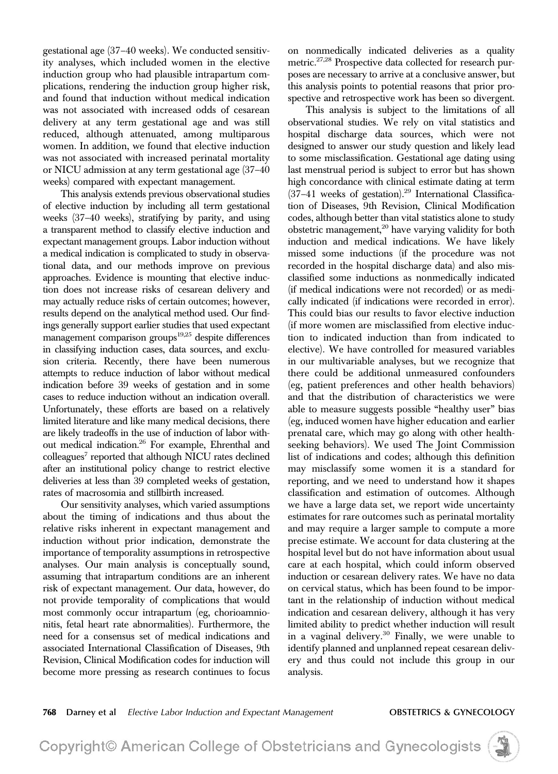gestational age (37–40 weeks). We conducted sensitivity analyses, which included women in the elective induction group who had plausible intrapartum complications, rendering the induction group higher risk, and found that induction without medical indication was not associated with increased odds of cesarean delivery at any term gestational age and was still reduced, although attenuated, among multiparous women. In addition, we found that elective induction was not associated with increased perinatal mortality or NICU admission at any term gestational age (37–40 weeks) compared with expectant management.

This analysis extends previous observational studies of elective induction by including all term gestational weeks (37–40 weeks), stratifying by parity, and using a transparent method to classify elective induction and expectant management groups. Labor induction without a medical indication is complicated to study in observational data, and our methods improve on previous approaches. Evidence is mounting that elective induction does not increase risks of cesarean delivery and may actually reduce risks of certain outcomes; however, results depend on the analytical method used. Our findings generally support earlier studies that used expectant management comparison groups $19,25$  despite differences in classifying induction cases, data sources, and exclusion criteria. Recently, there have been numerous attempts to reduce induction of labor without medical indication before 39 weeks of gestation and in some cases to reduce induction without an indication overall. Unfortunately, these efforts are based on a relatively limited literature and like many medical decisions, there are likely tradeoffs in the use of induction of labor without medical indication.26 For example, Ehrenthal and colleagues<sup>7</sup> reported that although NICU rates declined after an institutional policy change to restrict elective deliveries at less than 39 completed weeks of gestation, rates of macrosomia and stillbirth increased.

Our sensitivity analyses, which varied assumptions about the timing of indications and thus about the relative risks inherent in expectant management and induction without prior indication, demonstrate the importance of temporality assumptions in retrospective analyses. Our main analysis is conceptually sound, assuming that intrapartum conditions are an inherent risk of expectant management. Our data, however, do not provide temporality of complications that would most commonly occur intrapartum (eg, chorioamnionitis, fetal heart rate abnormalities). Furthermore, the need for a consensus set of medical indications and associated International Classification of Diseases, 9th Revision, Clinical Modification codes for induction will become more pressing as research continues to focus

on nonmedically indicated deliveries as a quality metric.<sup>27,28</sup> Prospective data collected for research purposes are necessary to arrive at a conclusive answer, but this analysis points to potential reasons that prior prospective and retrospective work has been so divergent.

This analysis is subject to the limitations of all observational studies. We rely on vital statistics and hospital discharge data sources, which were not designed to answer our study question and likely lead to some misclassification. Gestational age dating using last menstrual period is subject to error but has shown high concordance with clinical estimate dating at term  $(37-41$  weeks of gestation).<sup>29</sup> International Classification of Diseases, 9th Revision, Clinical Modification codes, although better than vital statistics alone to study obstetric management, $20$  have varying validity for both induction and medical indications. We have likely missed some inductions (if the procedure was not recorded in the hospital discharge data) and also misclassified some inductions as nonmedically indicated (if medical indications were not recorded) or as medically indicated (if indications were recorded in error). This could bias our results to favor elective induction (if more women are misclassified from elective induction to indicated induction than from indicated to elective). We have controlled for measured variables in our multivariable analyses, but we recognize that there could be additional unmeasured confounders (eg, patient preferences and other health behaviors) and that the distribution of characteristics we were able to measure suggests possible "healthy user" bias (eg, induced women have higher education and earlier prenatal care, which may go along with other healthseeking behaviors). We used The Joint Commission list of indications and codes; although this definition may misclassify some women it is a standard for reporting, and we need to understand how it shapes classification and estimation of outcomes. Although we have a large data set, we report wide uncertainty estimates for rare outcomes such as perinatal mortality and may require a larger sample to compute a more precise estimate. We account for data clustering at the hospital level but do not have information about usual care at each hospital, which could inform observed induction or cesarean delivery rates. We have no data on cervical status, which has been found to be important in the relationship of induction without medical indication and cesarean delivery, although it has very limited ability to predict whether induction will result in a vaginal delivery.<sup>30</sup> Finally, we were unable to identify planned and unplanned repeat cesarean delivery and thus could not include this group in our analysis.

768 Darney et al Elective Labor Induction and Expectant Management **OBSTETRICS & GYNECOLOGY**